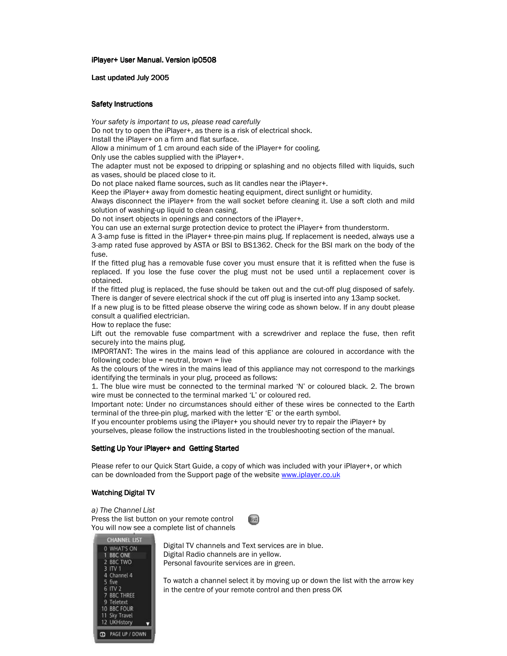iPlayer+ User Manual. Version ip0508

Last updated July 2005

## Safety Instructions

Your safety is important to us, please read carefully

Do not try to open the iPlayer+, as there is a risk of electrical shock.

Install the iPlayer+ on a firm and flat surface.

Allow a minimum of 1 cm around each side of the iPlayer+ for cooling.

Only use the cables supplied with the iPlayer+.

The adapter must not be exposed to dripping or splashing and no objects filled with liquids, such as vases, should be placed close to it.

Do not place naked flame sources, such as lit candles near the iPlayer+.

Keep the iPlayer+ away from domestic heating equipment, direct sunlight or humidity.

Always disconnect the iPlayer+ from the wall socket before cleaning it. Use a soft cloth and mild solution of washing-up liquid to clean casing.

Do not insert objects in openings and connectors of the iPlayer+.

You can use an external surge protection device to protect the iPlayer+ from thunderstorm.

A 3-amp fuse is fitted in the iPlayer+ three-pin mains plug. If replacement is needed, always use a 3-amp rated fuse approved by ASTA or BSI to BS1362. Check for the BSI mark on the body of the fuse.

If the fitted plug has a removable fuse cover you must ensure that it is refitted when the fuse is replaced. If you lose the fuse cover the plug must not be used until a replacement cover is obtained.

If the fitted plug is replaced, the fuse should be taken out and the cut-off plug disposed of safely. There is danger of severe electrical shock if the cut off plug is inserted into any 13amp socket.

If a new plug is to be fitted please observe the wiring code as shown below. If in any doubt please consult a qualified electrician.

How to replace the fuse:

Lift out the removable fuse compartment with a screwdriver and replace the fuse, then refit securely into the mains plug.

IMPORTANT: The wires in the mains lead of this appliance are coloured in accordance with the following code: blue  $=$  neutral, brown  $=$  live

As the colours of the wires in the mains lead of this appliance may not correspond to the markings identifying the terminals in your plug, proceed as follows:

1. The blue wire must be connected to the terminal marked 'N' or coloured black. 2. The brown wire must be connected to the terminal marked 'L' or coloured red.

Important note: Under no circumstances should either of these wires be connected to the Earth terminal of the three-pin plug, marked with the letter 'E' or the earth symbol.

If you encounter problems using the iPlayer+ you should never try to repair the iPlayer+ by

yourselves, please follow the instructions listed in the troubleshooting section of the manual.

# Setting Up Your iPlayer+ and Getting Started

Please refer to our Quick Start Guide, a copy of which was included with your iPlayer+, or which can be downloaded from the Support page of the website www.iplayer.co.uk

(list)

# Watching Digital TV

a) The Channel List Press the list button on your remote control You will now see a complete list of channels



Digital TV channels and Text services are in blue. Digital Radio channels are in yellow. Personal favourite services are in green.

To watch a channel select it by moving up or down the list with the arrow key in the centre of your remote control and then press OK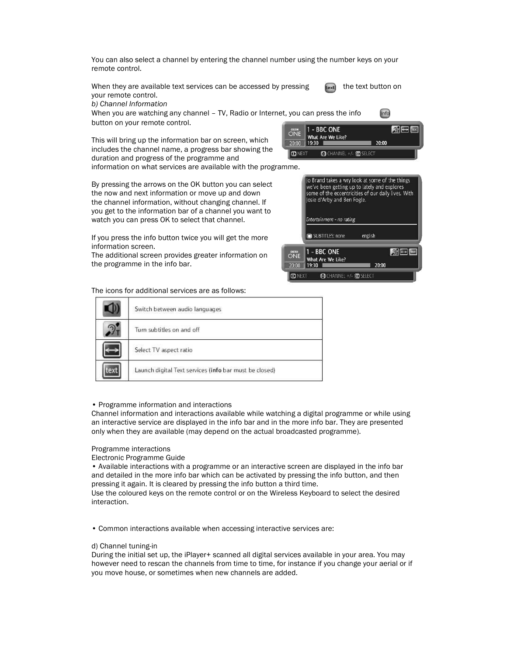You can also select a channel by entering the channel number using the number keys on your remote control.

When they are available text services can be accessed by pressing  $\leftarrow$  the text button on your remote control.

b) Channel Information

When you are watching any channel – TV, Radio or Internet, you can press the info button on your remote control. - BBC ONE

This will bring up the information bar on screen, which includes the channel name, a progress bar showing the duration and progress of the programme and information on what services are available with the programme.

By pressing the arrows on the OK button you can select the now and next information or move up and down the channel information, without changing channel. If you get to the information bar of a channel you want to watch you can press OK to select that channel.

If you press the info button twice you will get the more information screen.

The additional screen provides greater information on the programme in the info bar.



CHANNEL +/- OR SELECT

What Are We Like?

19:30

 $20:00$ 

**O NEXT** 

info

20:00

 $P = E$ 

The icons for additional services are as follows:

| Switch between audio languages                         |  |
|--------------------------------------------------------|--|
| Turn subtitles on and off                              |  |
| Select TV aspect ratio                                 |  |
| Launch digital Text services (info bar must be closed) |  |

### • Programme information and interactions

Channel information and interactions available while watching a digital programme or while using an interactive service are displayed in the info bar and in the more info bar. They are presented only when they are available (may depend on the actual broadcasted programme).

### Programme interactions

Electronic Programme Guide

• Available interactions with a programme or an interactive screen are displayed in the info bar and detailed in the more info bar which can be activated by pressing the info button, and then pressing it again. It is cleared by pressing the info button a third time.

Use the coloured keys on the remote control or on the Wireless Keyboard to select the desired interaction.

• Common interactions available when accessing interactive services are:

#### d) Channel tuning-in

During the initial set up, the iPlayer+ scanned all digital services available in your area. You may however need to rescan the channels from time to time, for instance if you change your aerial or if you move house, or sometimes when new channels are added.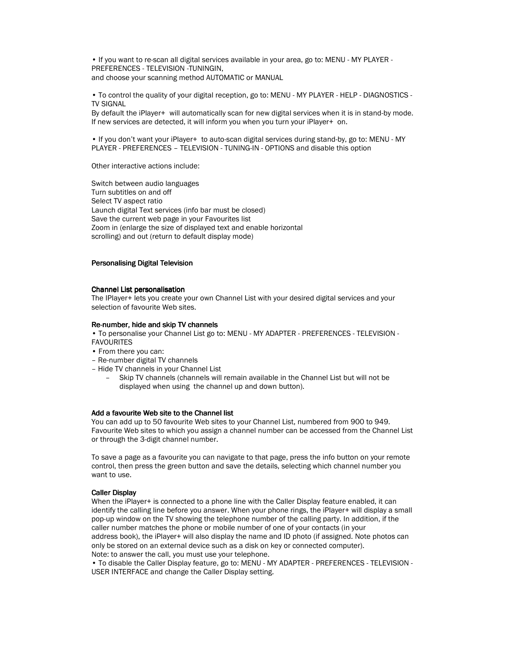• If you want to re-scan all digital services available in your area, go to: MENU - MY PLAYER - PREFERENCES - TELEVISION -TUNINGIN, and choose your scanning method AUTOMATIC or MANUAL

• To control the quality of your digital reception, go to: MENU - MY PLAYER - HELP - DIAGNOSTICS - TV SIGNAL

By default the iPlayer+ will automatically scan for new digital services when it is in stand-by mode. If new services are detected, it will inform you when you turn your iPlayer+ on.

• If you don't want your iPlayer+ to auto-scan digital services during stand-by, go to: MENU - MY PLAYER - PREFERENCES – TELEVISION - TUNING-IN - OPTIONS and disable this option

Other interactive actions include:

Switch between audio languages Turn subtitles on and off Select TV aspect ratio Launch digital Text services (info bar must be closed) Save the current web page in your Favourites list Zoom in (enlarge the size of displayed text and enable horizontal scrolling) and out (return to default display mode)

# Personalising Digital Television

### Channel List personalisation

The IPlayer+ lets you create your own Channel List with your desired digital services and your selection of favourite Web sites.

#### Re-number, hide and skip TV channels

• To personalise your Channel List go to: MENU - MY ADAPTER - PREFERENCES - TELEVISION - FAVOURITES

- From there you can:
- Re-number digital TV channels
- Hide TV channels in your Channel List
	- Skip TV channels (channels will remain available in the Channel List but will not be displayed when using the channel up and down button).

### Add a favourite Web site to the Channel list

You can add up to 50 favourite Web sites to your Channel List, numbered from 900 to 949. Favourite Web sites to which you assign a channel number can be accessed from the Channel List or through the 3-digit channel number.

To save a page as a favourite you can navigate to that page, press the info button on your remote control, then press the green button and save the details, selecting which channel number you want to use.

#### **Caller Display**

When the iPlayer+ is connected to a phone line with the Caller Display feature enabled, it can identify the calling line before you answer. When your phone rings, the iPlayer+ will display a small pop-up window on the TV showing the telephone number of the calling party. In addition, if the caller number matches the phone or mobile number of one of your contacts (in your address book), the iPlayer+ will also display the name and ID photo (if assigned. Note photos can only be stored on an external device such as a disk on key or connected computer). Note: to answer the call, you must use your telephone.

• To disable the Caller Display feature, go to: MENU - MY ADAPTER - PREFERENCES - TELEVISION - USER INTERFACE and change the Caller Display setting.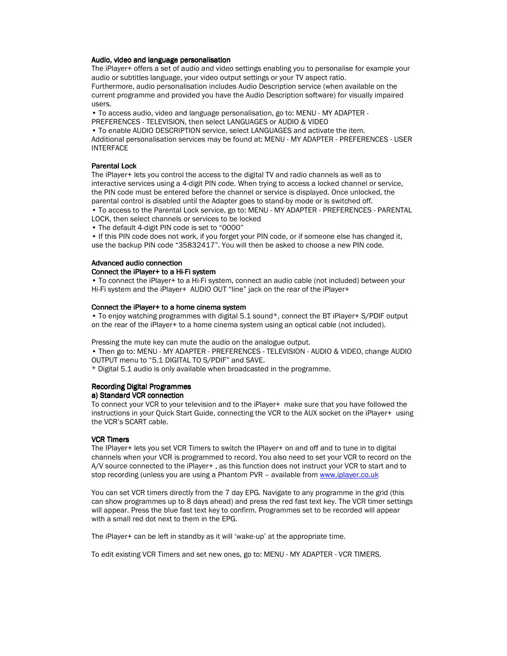#### Audio, video and language personalisation

The iPlayer+ offers a set of audio and video settings enabling you to personalise for example your audio or subtitles language, your video output settings or your TV aspect ratio.

Furthermore, audio personalisation includes Audio Description service (when available on the current programme and provided you have the Audio Description software) for visually impaired users.

• To access audio, video and language personalisation, go to: MENU - MY ADAPTER -

PREFERENCES - TELEVISION, then select LANGUAGES or AUDIO & VIDEO

• To enable AUDIO DESCRIPTION service, select LANGUAGES and activate the item. Additional personalisation services may be found at: MENU - MY ADAPTER - PREFERENCES - USER INTERFACE

## Parental Lock

The iPlayer+ lets you control the access to the digital TV and radio channels as well as to interactive services using a 4-digit PIN code. When trying to access a locked channel or service, the PIN code must be entered before the channel or service is displayed. Once unlocked, the parental control is disabled until the Adapter goes to stand-by mode or is switched off.

• To access to the Parental Lock service, go to: MENU - MY ADAPTER - PREFERENCES - PARENTAL LOCK, then select channels or services to be locked

• The default 4-digit PIN code is set to "0000"

• If this PIN code does not work, if you forget your PIN code, or if someone else has changed it, use the backup PIN code "35832417". You will then be asked to choose a new PIN code.

## Advanced audio connection

### Connect the iPlayer+ to a Hi-Fi system

• To connect the iPlayer+ to a Hi-Fi system, connect an audio cable (not included) between your Hi-Fi system and the iPlayer+ AUDIO OUT "line" jack on the rear of the iPlayer+

#### Connect the iPlayer+ to a home cinema system

• To enjoy watching programmes with digital 5.1 sound\*, connect the BT iPlayer+ S/PDIF output on the rear of the iPlayer+ to a home cinema system using an optical cable (not included).

Pressing the mute key can mute the audio on the analogue output.

• Then go to: MENU - MY ADAPTER - PREFERENCES - TELEVISION - AUDIO & VIDEO, change AUDIO OUTPUT menu to "5.1 DIGITAL TO S/PDIF" and SAVE.

\* Digital 5.1 audio is only available when broadcasted in the programme.

#### **Recording Digital Programmes** a) Standard VCR connection

To connect your VCR to your television and to the iPlayer+ make sure that you have followed the instructions in your Quick Start Guide, connecting the VCR to the AUX socket on the iPlayer+ using the VCR's SCART cable.

### **VCR Timers**

The IPlayer+ lets you set VCR Timers to switch the IPlayer+ on and off and to tune in to digital channels when your VCR is programmed to record. You also need to set your VCR to record on the A/V source connected to the iPlayer+ , as this function does not instruct your VCR to start and to stop recording (unless you are using a Phantom PVR - available from www.iplayer.co.uk

You can set VCR timers directly from the 7 day EPG. Navigate to any programme in the grid (this can show programmes up to 8 days ahead) and press the red fast text key. The VCR timer settings will appear. Press the blue fast text key to confirm. Programmes set to be recorded will appear with a small red dot next to them in the EPG.

The iPlayer+ can be left in standby as it will 'wake-up' at the appropriate time.

To edit existing VCR Timers and set new ones, go to: MENU - MY ADAPTER - VCR TIMERS.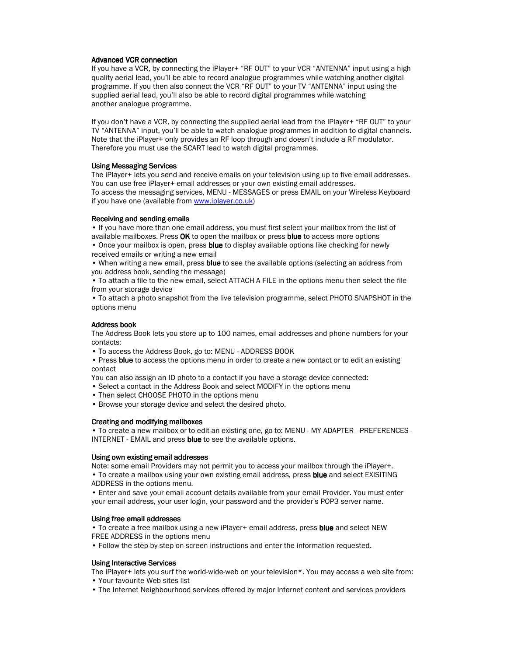### Advanced VCR connection

If you have a VCR, by connecting the iPlayer+ "RF OUT" to your VCR "ANTENNA" input using a high quality aerial lead, you'll be able to record analogue programmes while watching another digital programme. If you then also connect the VCR "RF OUT" to your TV "ANTENNA" input using the supplied aerial lead, you'll also be able to record digital programmes while watching another analogue programme.

If you don't have a VCR, by connecting the supplied aerial lead from the IPlayer+ "RF OUT" to your TV "ANTENNA" input, you'll be able to watch analogue programmes in addition to digital channels. Note that the iPlayer+ only provides an RF loop through and doesn't include a RF modulator. Therefore you must use the SCART lead to watch digital programmes.

# Using Messaging Services

The iPlayer+ lets you send and receive emails on your television using up to five email addresses. You can use free iPlayer+ email addresses or your own existing email addresses. To access the messaging services, MENU - MESSAGES or press EMAIL on your Wireless Keyboard if you have one (available from www.iplayer.co.uk)

## Receiving and sending emails

• If you have more than one email address, you must first select your mailbox from the list of available mailboxes. Press OK to open the mailbox or press blue to access more options • Once your mailbox is open, press **blue** to display available options like checking for newly

received emails or writing a new email

• When writing a new email, press blue to see the available options (selecting an address from you address book, sending the message)

• To attach a file to the new email, select ATTACH A FILE in the options menu then select the file from your storage device

• To attach a photo snapshot from the live television programme, select PHOTO SNAPSHOT in the options menu

## Address book

The Address Book lets you store up to 100 names, email addresses and phone numbers for your contacts:

• To access the Address Book, go to: MENU - ADDRESS BOOK

- Press blue to access the options menu in order to create a new contact or to edit an existing contact
- You can also assign an ID photo to a contact if you have a storage device connected:
- Select a contact in the Address Book and select MODIFY in the options menu
- Then select CHOOSE PHOTO in the options menu
- Browse your storage device and select the desired photo.

### Creating and modifying mailboxes

• To create a new mailbox or to edit an existing one, go to: MENU - MY ADAPTER - PREFERENCES - INTERNET - EMAIL and press blue to see the available options.

### Using own existing email addresses

Note: some email Providers may not permit you to access your mailbox through the iPlayer+. • To create a mailbox using your own existing email address, press blue and select EXISITING ADDRESS in the options menu.

• Enter and save your email account details available from your email Provider. You must enter your email address, your user login, your password and the provider's POP3 server name.

### Using free email addresses

• To create a free mailbox using a new iPlayer+ email address, press blue and select NEW FREE ADDRESS in the options menu

• Follow the step-by-step on-screen instructions and enter the information requested.

# Using Interactive Services

The iPlayer+ lets you surf the world-wide-web on your television\*. You may access a web site from: • Your favourite Web sites list

• The Internet Neighbourhood services offered by major Internet content and services providers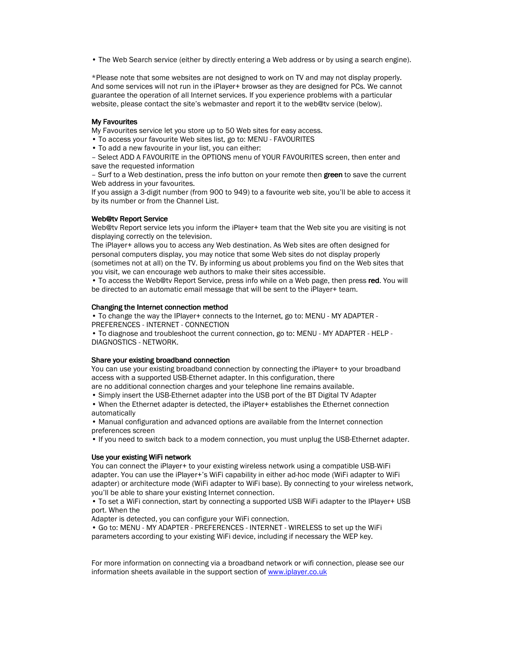• The Web Search service (either by directly entering a Web address or by using a search engine).

\*Please note that some websites are not designed to work on TV and may not display properly. And some services will not run in the iPlayer+ browser as they are designed for PCs. We cannot guarantee the operation of all Internet services. If you experience problems with a particular website, please contact the site's webmaster and report it to the web@tv service (below).

### **My Favourites**

My Favourites service let you store up to 50 Web sites for easy access.

- To access your favourite Web sites list, go to: MENU FAVOURITES
- To add a new favourite in your list, you can either:

– Select ADD A FAVOURITE in the OPTIONS menu of YOUR FAVOURITES screen, then enter and save the requested information

– Surf to a Web destination, press the info button on your remote then green to save the current Web address in your favourites.

If you assign a 3-digit number (from 900 to 949) to a favourite web site, you'll be able to access it by its number or from the Channel List.

# Web@tv Report Service

Web@tv Report service lets you inform the iPlayer+ team that the Web site you are visiting is not displaying correctly on the television.

The iPlayer+ allows you to access any Web destination. As Web sites are often designed for personal computers display, you may notice that some Web sites do not display properly (sometimes not at all) on the TV. By informing us about problems you find on the Web sites that you visit, we can encourage web authors to make their sites accessible.

• To access the Web@tv Report Service, press info while on a Web page, then press red. You will be directed to an automatic email message that will be sent to the iPlayer+ team.

#### Changing the Internet connection method

• To change the way the IPlayer+ connects to the Internet, go to: MENU - MY ADAPTER - PREFERENCES - INTERNET - CONNECTION

• To diagnose and troubleshoot the current connection, go to: MENU - MY ADAPTER - HELP - DIAGNOSTICS - NETWORK.

### Share your existing broadband connection

You can use your existing broadband connection by connecting the iPlayer+ to your broadband access with a supported USB-Ethernet adapter. In this configuration, there

are no additional connection charges and your telephone line remains available. • Simply insert the USB-Ethernet adapter into the USB port of the BT Digital TV Adapter

• When the Ethernet adapter is detected, the iPlayer+ establishes the Ethernet connection automatically

• Manual configuration and advanced options are available from the Internet connection preferences screen

• If you need to switch back to a modem connection, you must unplug the USB-Ethernet adapter.

### Use your existing WiFi network

You can connect the iPlayer+ to your existing wireless network using a compatible USB-WiFi adapter. You can use the iPlayer+'s WiFi capability in either ad-hoc mode (WiFi adapter to WiFi adapter) or architecture mode (WiFi adapter to WiFi base). By connecting to your wireless network, you'll be able to share your existing Internet connection.

• To set a WiFi connection, start by connecting a supported USB WiFi adapter to the IPlayer+ USB port. When the

Adapter is detected, you can configure your WiFi connection.

• Go to: MENU - MY ADAPTER - PREFERENCES - INTERNET - WIRELESS to set up the WiFi parameters according to your existing WiFi device, including if necessary the WEP key.

For more information on connecting via a broadband network or wifi connection, please see our information sheets available in the support section of www.iplayer.co.uk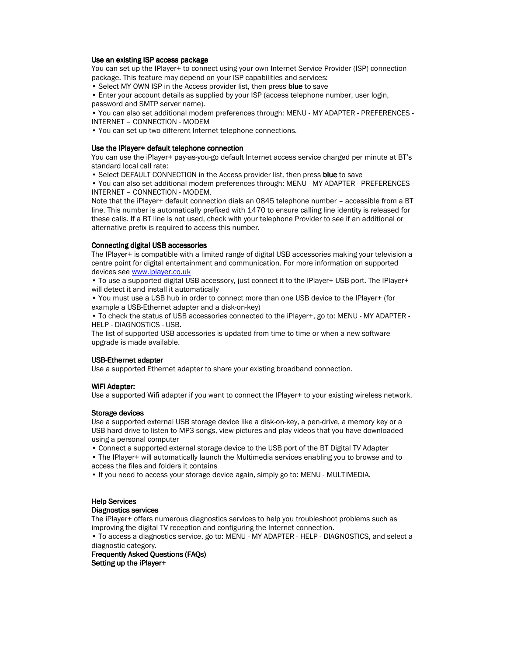## Use an existing ISP access package

You can set up the IPlayer+ to connect using your own Internet Service Provider (ISP) connection package. This feature may depend on your ISP capabilities and services:

• Select MY OWN ISP in the Access provider list, then press blue to save

• Enter your account details as supplied by your ISP (access telephone number, user login, password and SMTP server name).

• You can also set additional modem preferences through: MENU - MY ADAPTER - PREFERENCES -

INTERNET – CONNECTION - MODEM

• You can set up two different Internet telephone connections.

### Use the IPlayer+ default telephone connection

You can use the iPlayer+ pay-as-you-go default Internet access service charged per minute at BT's standard local call rate:

• Select DEFAULT CONNECTION in the Access provider list, then press blue to save

• You can also set additional modem preferences through: MENU - MY ADAPTER - PREFERENCES - INTERNET – CONNECTION - MODEM.

Note that the iPlayer+ default connection dials an 0845 telephone number – accessible from a BT line. This number is automatically prefixed with 1470 to ensure calling line identity is released for these calls. If a BT line is not used, check with your telephone Provider to see if an additional or alternative prefix is required to access this number.

### Connecting digital USB accessories

The IPlayer+ is compatible with a limited range of digital USB accessories making your television a centre point for digital entertainment and communication. For more information on supported devices see www.iplayer.co.uk

• To use a supported digital USB accessory, just connect it to the IPlayer+ USB port. The IPlayer+ will detect it and install it automatically

• You must use a USB hub in order to connect more than one USB device to the IPlayer+ (for example a USB-Ethernet adapter and a disk-on-key)

• To check the status of USB accessories connected to the iPlayer+, go to: MENU - MY ADAPTER - HELP - DIAGNOSTICS - USB.

The list of supported USB accessories is updated from time to time or when a new software upgrade is made available.

# USB-Ethernet adapter

Use a supported Ethernet adapter to share your existing broadband connection.

### WiFi Adapter:

Use a supported Wifi adapter if you want to connect the IPlayer+ to your existing wireless network.

### Storage devices

Use a supported external USB storage device like a disk-on-key, a pen-drive, a memory key or a USB hard drive to listen to MP3 songs, view pictures and play videos that you have downloaded using a personal computer

• Connect a supported external storage device to the USB port of the BT Digital TV Adapter

- The IPlayer+ will automatically launch the Multimedia services enabling you to browse and to access the files and folders it contains
- If you need to access your storage device again, simply go to: MENU MULTIMEDIA.

# Help Services

### Diagnostics services

The iPlayer+ offers numerous diagnostics services to help you troubleshoot problems such as improving the digital TV reception and configuring the Internet connection.

• To access a diagnostics service, go to: MENU - MY ADAPTER - HELP - DIAGNOSTICS, and select a diagnostic category.

# Frequently Asked Questions (FAQs) Setting up the iPlayer+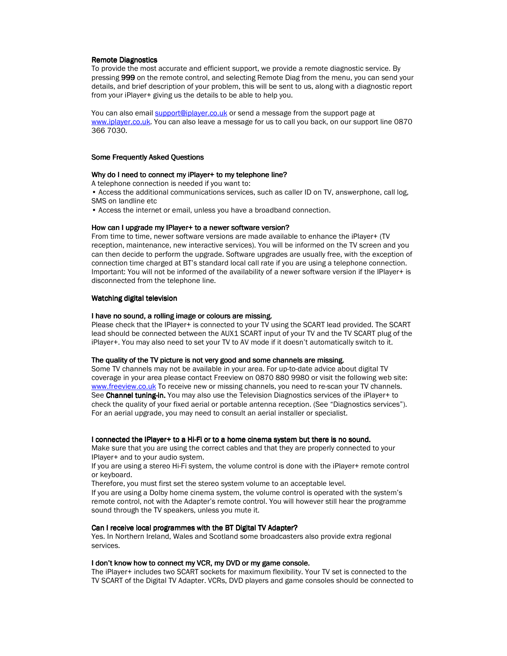### **Remote Diagnostics**

To provide the most accurate and efficient support, we provide a remote diagnostic service. By pressing 999 on the remote control, and selecting Remote Diag from the menu, you can send your details, and brief description of your problem, this will be sent to us, along with a diagnostic report from your iPlayer+ giving us the details to be able to help you.

You can also email support@iplayer.co.uk or send a message from the support page at www.iplayer.co.uk. You can also leave a message for us to call you back, on our support line 0870 366 7030.

#### Some Frequently Asked Questions

#### Why do I need to connect my iPlayer+ to my telephone line?

A telephone connection is needed if you want to:

• Access the additional communications services, such as caller ID on TV, answerphone, call log, SMS on landline etc

• Access the internet or email, unless you have a broadband connection.

#### How can I upgrade my IPlayer+ to a newer software version?

From time to time, newer software versions are made available to enhance the iPlayer+ (TV reception, maintenance, new interactive services). You will be informed on the TV screen and you can then decide to perform the upgrade. Software upgrades are usually free, with the exception of connection time charged at BT's standard local call rate if you are using a telephone connection. Important: You will not be informed of the availability of a newer software version if the IPlayer+ is disconnected from the telephone line.

#### Watching digital television

#### I have no sound, a rolling image or colours are missing.

Please check that the IPlayer+ is connected to your TV using the SCART lead provided. The SCART lead should be connected between the AUX1 SCART input of your TV and the TV SCART plug of the iPlayer+. You may also need to set your TV to AV mode if it doesn't automatically switch to it.

### The quality of the TV picture is not very good and some channels are missing.

Some TV channels may not be available in your area. For up-to-date advice about digital TV coverage in your area please contact Freeview on 0870 880 9980 or visit the following web site: www.freeview.co.uk To receive new or missing channels, you need to re-scan your TV channels. See Channel tuning-in. You may also use the Television Diagnostics services of the iPlayer+ to check the quality of your fixed aerial or portable antenna reception. (See "Diagnostics services"). For an aerial upgrade, you may need to consult an aerial installer or specialist.

#### I connected the IPlayer+ to a Hi-Fi or to a home cinema system but there is no sound.

Make sure that you are using the correct cables and that they are properly connected to your IPlayer+ and to your audio system.

If you are using a stereo Hi-Fi system, the volume control is done with the iPlayer+ remote control or keyboard.

Therefore, you must first set the stereo system volume to an acceptable level.

If you are using a Dolby home cinema system, the volume control is operated with the system's remote control, not with the Adapter's remote control. You will however still hear the programme sound through the TV speakers, unless you mute it.

### Can I receive local programmes with the BT Digital TV Adapter?

Yes. In Northern Ireland, Wales and Scotland some broadcasters also provide extra regional services.

#### I don't know how to connect my VCR, my DVD or my game console.

The iPlayer+ includes two SCART sockets for maximum flexibility. Your TV set is connected to the TV SCART of the Digital TV Adapter. VCRs, DVD players and game consoles should be connected to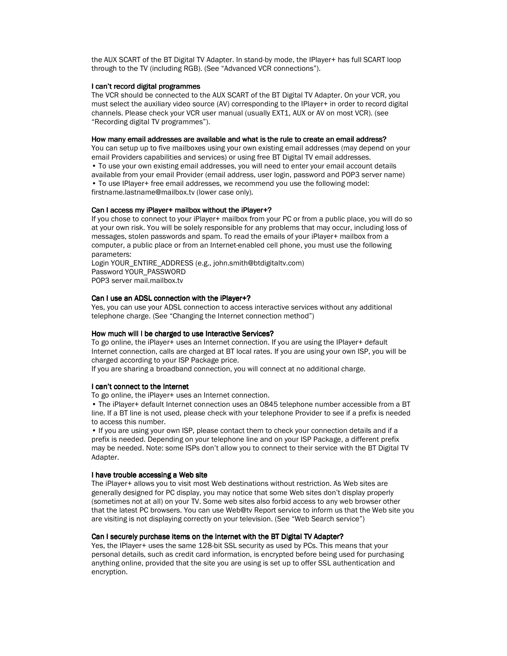the AUX SCART of the BT Digital TV Adapter. In stand-by mode, the IPlayer+ has full SCART loop through to the TV (including RGB). (See "Advanced VCR connections").

## I can't record digital programmes

The VCR should be connected to the AUX SCART of the BT Digital TV Adapter. On your VCR, you must select the auxiliary video source (AV) corresponding to the IPlayer+ in order to record digital channels. Please check your VCR user manual (usually EXT1, AUX or AV on most VCR). (see "Recording digital TV programmes").

#### How many email addresses are available and what is the rule to create an email address?

You can setup up to five mailboxes using your own existing email addresses (may depend on your email Providers capabilities and services) or using free BT Digital TV email addresses. • To use your own existing email addresses, you will need to enter your email account details available from your email Provider (email address, user login, password and POP3 server name)

• To use IPlayer+ free email addresses, we recommend you use the following model: firstname.lastname@mailbox.tv (lower case only).

## Can I access my iPlayer+ mailbox without the iPlayer+?

If you chose to connect to your iPlayer+ mailbox from your PC or from a public place, you will do so at your own risk. You will be solely responsible for any problems that may occur, including loss of messages, stolen passwords and spam. To read the emails of your iPlayer+ mailbox from a computer, a public place or from an Internet-enabled cell phone, you must use the following parameters:

Login YOUR\_ENTIRE\_ADDRESS (e.g., john.smith@btdigitaltv.com) Password YOUR\_PASSWORD POP3 server mail.mailbox.tv

### Can I use an ADSL connection with the iPlayer+?

Yes, you can use your ADSL connection to access interactive services without any additional telephone charge. (See "Changing the Internet connection method")

#### How much will I be charged to use Interactive Services?

To go online, the iPlayer+ uses an Internet connection. If you are using the IPlayer+ default Internet connection, calls are charged at BT local rates. If you are using your own ISP, you will be charged according to your ISP Package price.

If you are sharing a broadband connection, you will connect at no additional charge.

#### I can't connect to the Internet

To go online, the iPlayer+ uses an Internet connection.

• The iPlayer+ default Internet connection uses an 0845 telephone number accessible from a BT line. If a BT line is not used, please check with your telephone Provider to see if a prefix is needed to access this number.

• If you are using your own ISP, please contact them to check your connection details and if a prefix is needed. Depending on your telephone line and on your ISP Package, a different prefix may be needed. Note: some ISPs don't allow you to connect to their service with the BT Digital TV Adapter.

#### I have trouble accessing a Web site

The iPlayer+ allows you to visit most Web destinations without restriction. As Web sites are generally designed for PC display, you may notice that some Web sites don't display properly (sometimes not at all) on your TV. Some web sites also forbid access to any web browser other that the latest PC browsers. You can use Web@tv Report service to inform us that the Web site you are visiting is not displaying correctly on your television. (See "Web Search service")

### Can I securely purchase items on the Internet with the BT Digital TV Adapter?

Yes, the IPlayer+ uses the same 128-bit SSL security as used by PCs. This means that your personal details, such as credit card information, is encrypted before being used for purchasing anything online, provided that the site you are using is set up to offer SSL authentication and encryption.